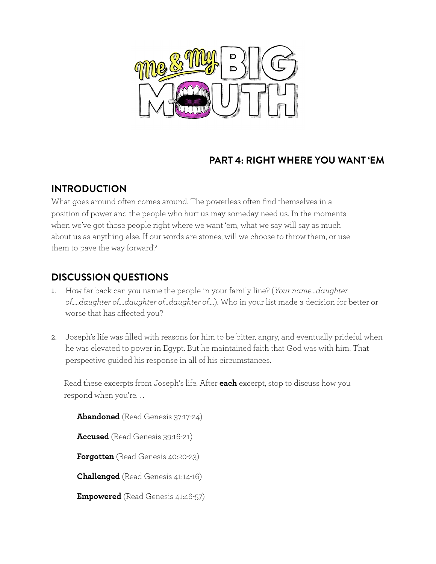

# **PART 4: RIGHT WHERE YOU WANT 'EM**

#### **INTRODUCTION**

What goes around often comes around. The powerless often find themselves in a position of power and the people who hurt us may someday need us. In the moments when we've got those people right where we want 'em, what we say will say as much about us as anything else. If our words are stones, will we choose to throw them, or use them to pave the way forward?

### **DISCUSSION QUESTIONS**

- 1. How far back can you name the people in your family line? (*Your name…daughter of…..daughter of….daughter of…daughter of….*). Who in your list made a decision for better or worse that has affected you?
- 2. Joseph's life was filled with reasons for him to be bitter, angry, and eventually prideful when he was elevated to power in Egypt. But he maintained faith that God was with him. That perspective guided his response in all of his circumstances.

Read these excerpts from Joseph's life. After **each** excerpt, stop to discuss how you respond when you're. . .

**Abandoned** (Read Genesis 37:17-24) **Accused** (Read Genesis 39:16-21) **Forgotten** (Read Genesis 40:20-23) **Challenged** (Read Genesis 41:14-16) **Empowered** (Read Genesis 41:46-57)